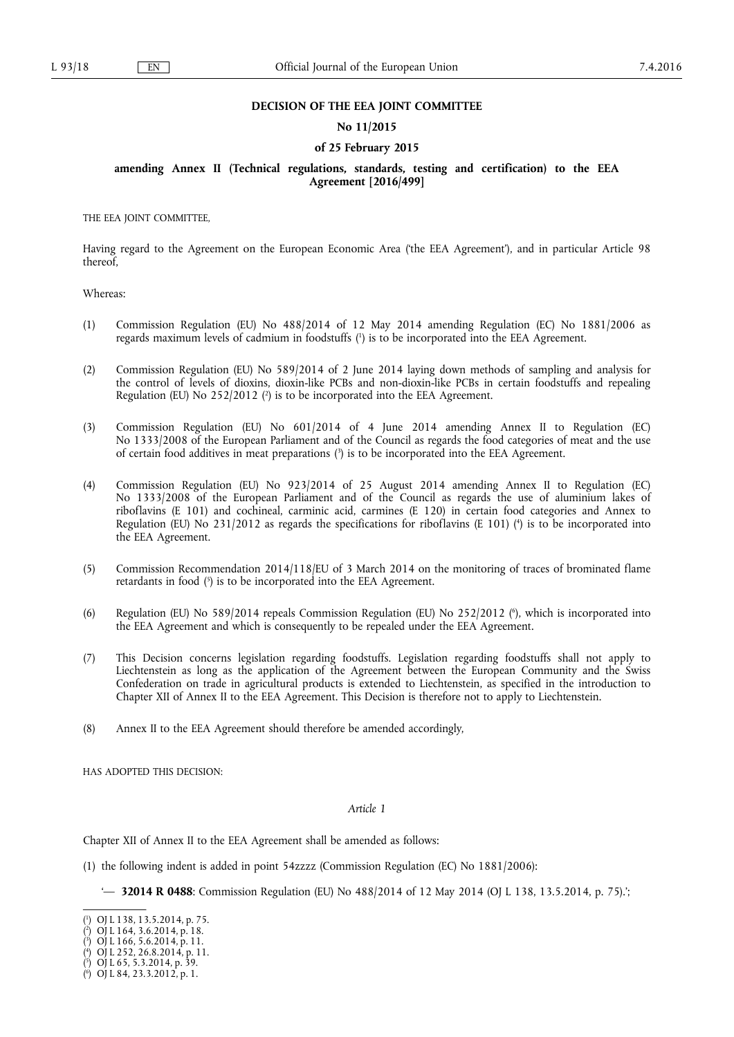### **DECISION OF THE EEA JOINT COMMITTEE**

### **No 11/2015**

#### **of 25 February 2015**

## **amending Annex II (Technical regulations, standards, testing and certification) to the EEA Agreement [2016/499]**

THE EEA JOINT COMMITTEE,

Having regard to the Agreement on the European Economic Area ('the EEA Agreement'), and in particular Article 98 thereof,

Whereas:

- (1) Commission Regulation (EU) No 488/2014 of 12 May 2014 amending Regulation (EC) No 1881/2006 as regards maximum levels of cadmium in foodstuffs ( 1 ) is to be incorporated into the EEA Agreement.
- (2) Commission Regulation (EU) No 589/2014 of 2 June 2014 laying down methods of sampling and analysis for the control of levels of dioxins, dioxin-like PCBs and non-dioxin-like PCBs in certain foodstuffs and repealing Regulation (EU) No 252/2012 ( 2 ) is to be incorporated into the EEA Agreement.
- (3) Commission Regulation (EU) No 601/2014 of 4 June 2014 amending Annex II to Regulation (EC) No 1333/2008 of the European Parliament and of the Council as regards the food categories of meat and the use of certain food additives in meat preparations ( 3 ) is to be incorporated into the EEA Agreement.
- (4) Commission Regulation (EU) No 923/2014 of 25 August 2014 amending Annex II to Regulation (EC) No 1333/2008 of the European Parliament and of the Council as regards the use of aluminium lakes of riboflavins (E 101) and cochineal, carminic acid, carmines (E 120) in certain food categories and Annex to Regulation (EU) No 231/2012 as regards the specifications for riboflavins (E 101) ( 4 ) is to be incorporated into the EEA Agreement.
- (5) Commission Recommendation 2014/118/EU of 3 March 2014 on the monitoring of traces of brominated flame retardants in food ( 5 ) is to be incorporated into the EEA Agreement.
- (6) Regulation (EU) No 589/2014 repeals Commission Regulation (EU) No 252/2012 ( 6 ), which is incorporated into the EEA Agreement and which is consequently to be repealed under the EEA Agreement.
- (7) This Decision concerns legislation regarding foodstuffs. Legislation regarding foodstuffs shall not apply to Liechtenstein as long as the application of the Agreement between the European Community and the Swiss Confederation on trade in agricultural products is extended to Liechtenstein, as specified in the introduction to Chapter XII of Annex II to the EEA Agreement. This Decision is therefore not to apply to Liechtenstein.
- (8) Annex II to the EEA Agreement should therefore be amended accordingly,

HAS ADOPTED THIS DECISION:

### *Article 1*

Chapter XII of Annex II to the EEA Agreement shall be amended as follows:

- (1) the following indent is added in point 54zzzz (Commission Regulation (EC) No 1881/2006):
	- '— **32014 R 0488**: Commission Regulation (EU) No 488/2014 of 12 May 2014 (OJ L 138, 13.5.2014, p. 75).';

<sup>(</sup> 1 ) OJ L 138, 13.5.2014, p. 75.

<sup>(</sup> 2 ) OJ L 164, 3.6.2014, p. 18.

<sup>(</sup> 3 ) OJ L 166, 5.6.2014, p. 11.

<sup>(</sup> 4 ) OJ L 252, 26.8.2014, p. 11.

<sup>(</sup> 5 ) OJ L 65, 5.3.2014, p. 39.

<sup>(</sup> 6 ) OJ L 84, 23.3.2012, p. 1.